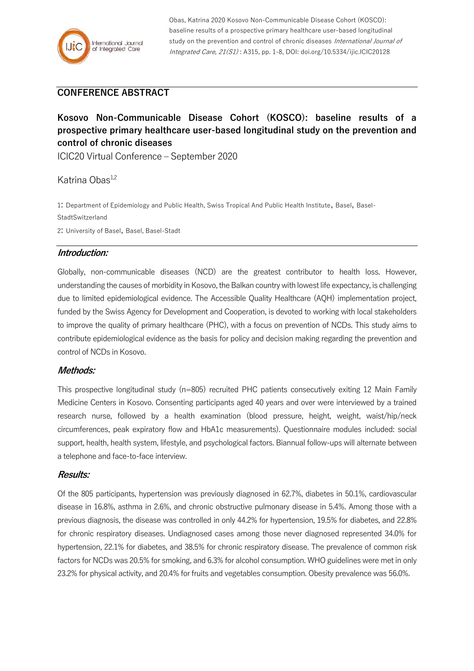Obas, Katrina 2020 Kosovo Non-Communicable Disease Cohort (KOSCO): baseline results of a prospective primary healthcare user-based longitudinal study on the prevention and control of chronic diseases International Journal of Integrated Care, 21(S1) : A315, pp. 1-8, DOI: doi.org/10.5334/ijic.ICIC20128

# **CONFERENCE ABSTRACT**

# **Kosovo Non-Communicable Disease Cohort (KOSCO): baseline results of a prospective primary healthcare user-based longitudinal study on the prevention and control of chronic diseases**

ICIC20 Virtual Conference – September 2020

Katrina Obas<sup>1,2</sup>

1: Department of Epidemiology and Public Health, Swiss Tropical And Public Health Institute, Basel, Basel-**StadtSwitzerland** 2: University of Basel, Basel, Basel-Stadt

## **Introduction:**

Globally, non-communicable diseases (NCD) are the greatest contributor to health loss. However, understanding the causes of morbidity in Kosovo, the Balkan country with lowest life expectancy, is challenging due to limited epidemiological evidence. The Accessible Quality Healthcare (AQH) implementation project, funded by the Swiss Agency for Development and Cooperation, is devoted to working with local stakeholders to improve the quality of primary healthcare (PHC), with a focus on prevention of NCDs. This study aims to contribute epidemiological evidence as the basis for policy and decision making regarding the prevention and control of NCDs in Kosovo.

#### **Methods:**

This prospective longitudinal study (n=805) recruited PHC patients consecutively exiting 12 Main Family Medicine Centers in Kosovo. Consenting participants aged 40 years and over were interviewed by a trained research nurse, followed by a health examination (blood pressure, height, weight, waist/hip/neck circumferences, peak expiratory flow and HbA1c measurements). Questionnaire modules included: social support, health, health system, lifestyle, and psychological factors. Biannual follow-ups will alternate between a telephone and face-to-face interview.

## **Results:**

Of the 805 participants, hypertension was previously diagnosed in 62.7%, diabetes in 50.1%, cardiovascular disease in 16.8%, asthma in 2.6%, and chronic obstructive pulmonary disease in 5.4%. Among those with a previous diagnosis, the disease was controlled in only 44.2% for hypertension, 19.5% for diabetes, and 22.8% for chronic respiratory diseases. Undiagnosed cases among those never diagnosed represented 34.0% for hypertension, 22.1% for diabetes, and 38.5% for chronic respiratory disease. The prevalence of common risk factors for NCDs was 20.5% for smoking, and 6.3% for alcohol consumption. WHO guidelines were met in only 23.2% for physical activity, and 20.4% for fruits and vegetables consumption. Obesity prevalence was 56.0%.